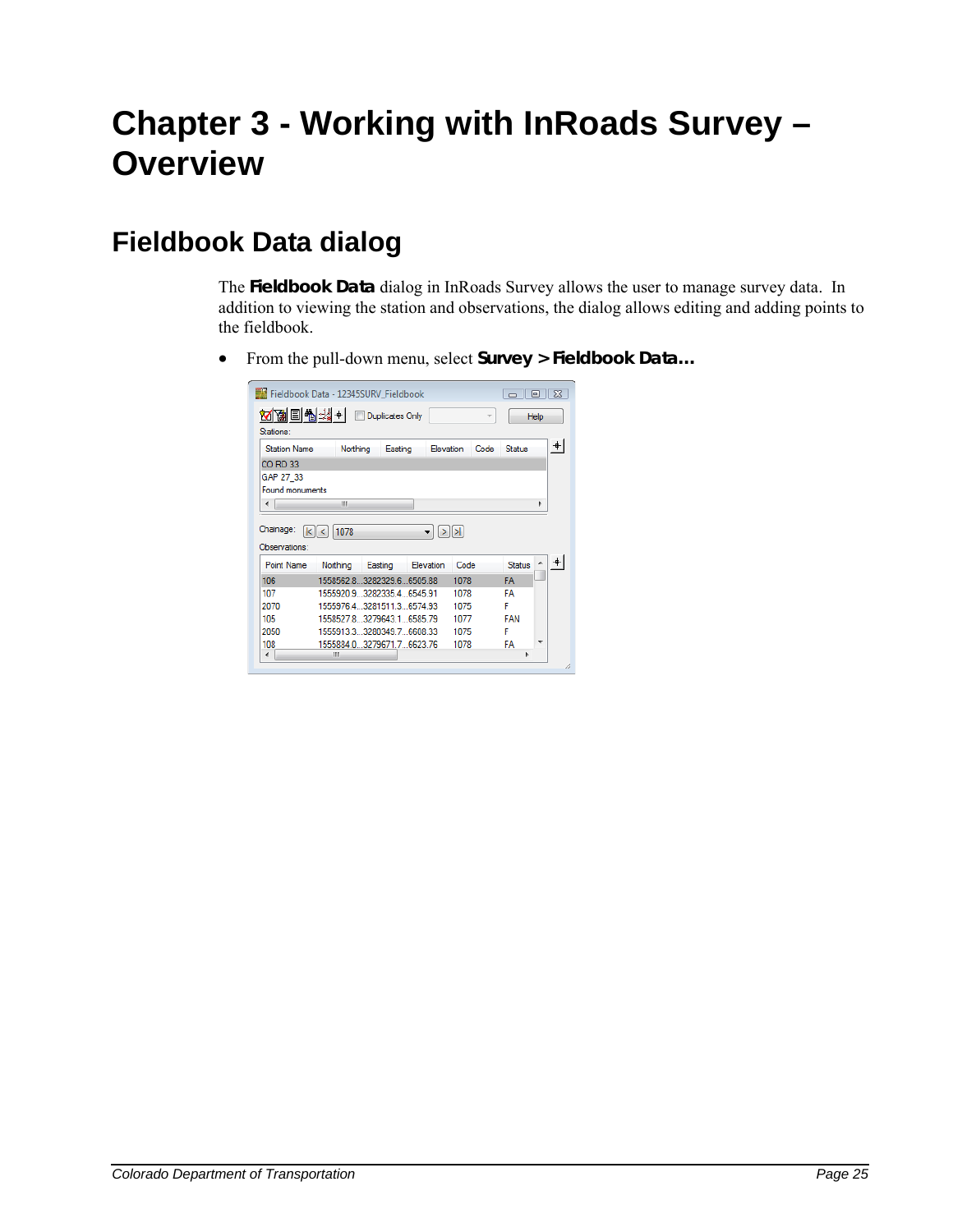# **Chapter 3 - Working with InRoads Survey – Overview**

# **Fieldbook Data dialog**

The **Fieldbook Data** dialog in InRoads Survey allows the user to manage survey data. In addition to viewing the station and observations, the dialog allows editing and adding points to the fieldbook.

From the pull-down menu, select **Survey > Fieldbook Data…**

| ▩틔쭵缘+▏<br>Stations:                       |                              |         | Duplicates Only |           |                   |      |               | Help |
|-------------------------------------------|------------------------------|---------|-----------------|-----------|-------------------|------|---------------|------|
| <b>Station Name</b>                       | Northing                     |         | Easting         | Elevation |                   | Code | Status        |      |
| CO RD 33                                  |                              |         |                 |           |                   |      |               |      |
| GAP 27 33                                 |                              |         |                 |           |                   |      |               |      |
| Found monuments                           |                              |         |                 |           |                   |      |               |      |
| ∢                                         | Ш                            |         |                 |           |                   |      |               | ħ    |
| KI                                        | 1078                         |         |                 |           | $>$ $\rightarrow$ |      |               |      |
|                                           |                              |         |                 |           |                   |      |               |      |
| <b>Point Name</b>                         | Northing                     | Easting |                 | Elevation | Code              |      | <b>Status</b> |      |
| 106                                       | 1558562.8.3282329.6.6505.88  |         |                 |           | 1078              |      | <b>FA</b>     |      |
| 107                                       | 1555920.9 3282335.4 6545.91  |         |                 |           | 1078              |      | FA            |      |
| 2070                                      | 1555976 4 3281511 3 6574 93  |         |                 |           | 1075              |      | F             |      |
| 105                                       | 1558527.8 3279643.1  6585.79 |         |                 |           | 1077              |      | <b>FAN</b>    |      |
| Chainage:<br>Observations:<br>2050<br>108 | 1555913.3 3280349.7 6608.33  |         |                 |           | 1075              |      | F             |      |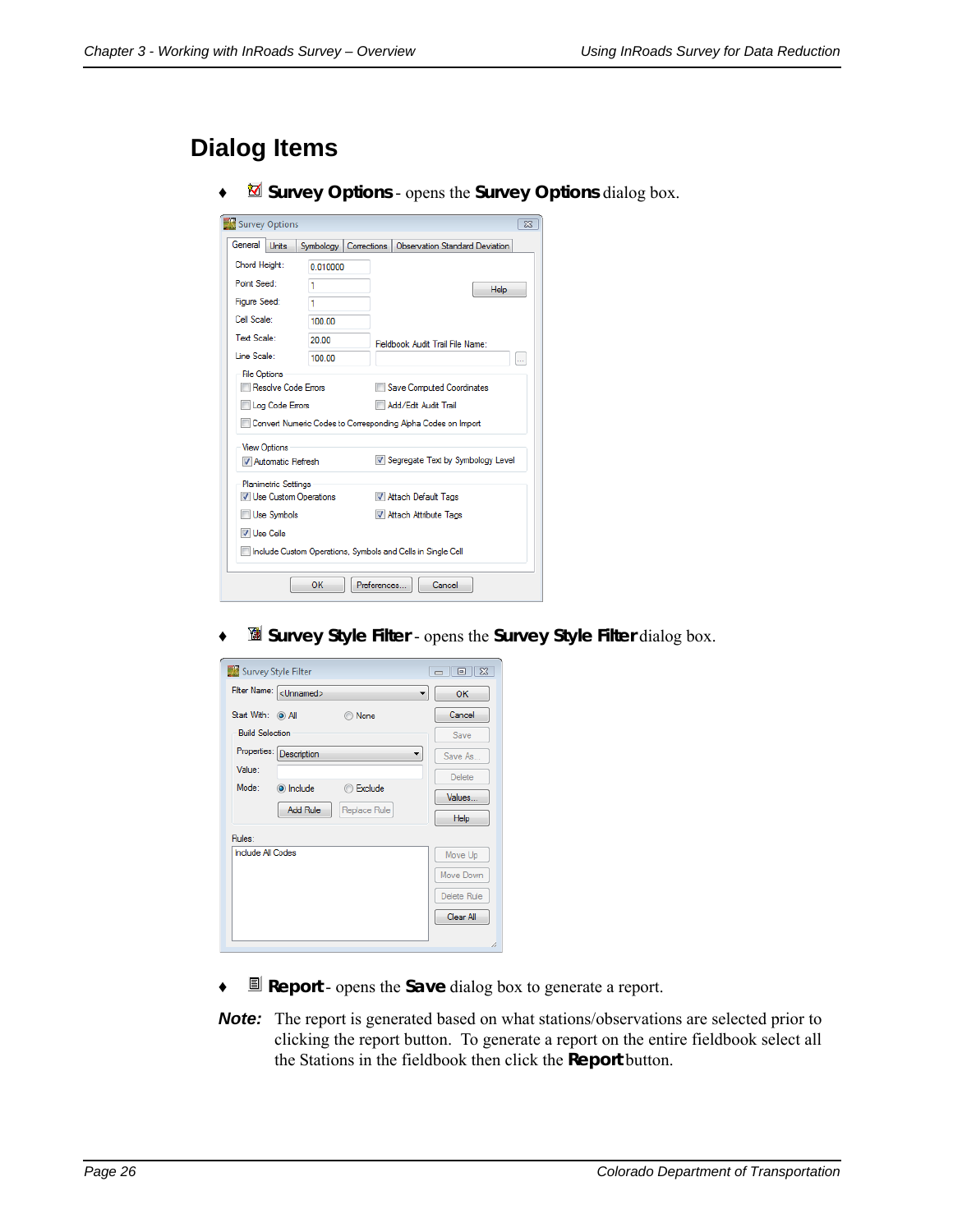### **Dialog Items**

♦ **Survey Options** - opens the **Survey Options** dialog box.

| Survey Options                                                                              |           |                                                                                                                          | $\Sigma$      |
|---------------------------------------------------------------------------------------------|-----------|--------------------------------------------------------------------------------------------------------------------------|---------------|
| General<br><b>Units</b>                                                                     | Symbology | Observation Standard Deviation<br>Corrections                                                                            |               |
| Chord Height:                                                                               | 0.010000  |                                                                                                                          |               |
| Point Seed:                                                                                 | 1         | <b>Help</b>                                                                                                              |               |
| Figure Seed:                                                                                | 1         |                                                                                                                          |               |
| Cell Scale:                                                                                 | 100.00    |                                                                                                                          |               |
| Text Scale:                                                                                 | 20.00     | Fieldbook Audit Trail File Name:                                                                                         |               |
| Line Scale:                                                                                 | 100.00    |                                                                                                                          | $\sim$ $\sim$ |
| <b>File Options</b><br><b>Resolve Code Errors</b><br>Log Code Errors                        |           | <b>Save Computed Coordinates</b><br>Add/Edit Audit Trail<br>Convert Numeric Codes to Corresponding Alpha Codes on Import |               |
| <b>View Options</b><br>Automatic Refresh                                                    |           | Segregate Text by Symbology Level                                                                                        |               |
| <b>Planimetric Settings</b><br>V Use Custom Operations<br><b>Use Symbols</b><br>V Use Cells |           | M Attach Default Tags<br>V Attach Attribute Tags                                                                         |               |
|                                                                                             |           | Include Custom Operations, Symbols and Cells in Single Cell                                                              |               |
|                                                                                             | OK        | <b>Preferences</b><br>Cancel                                                                                             |               |

♦ **Survey Style Filter** - opens the **Survey Style Filter** dialog box.

| Survey Style Filter             | $\Box$<br>$\Sigma$<br>$\Box$ |
|---------------------------------|------------------------------|
| Filter Name: < Unnamed><br>▼    | OK                           |
| Start With: (a) All<br>None     | Cancel                       |
| <b>Build Selection</b>          | Save                         |
| Properties: Description         | Save As                      |
| Value:                          | Delete                       |
| Mode:<br>include<br>Exclude     | Values                       |
| <b>Add Rule</b><br>Replace Rule | Help                         |
| Rules:                          |                              |
| Include All Codes               | Move Up                      |
|                                 | Move Down                    |
|                                 | Delete Rule                  |
|                                 | Clear All                    |
|                                 |                              |
|                                 |                              |

- ♦ **Report** opens the **Save** dialog box to generate a report.
- **Note:** The report is generated based on what stations/observations are selected prior to clicking the report button. To generate a report on the entire fieldbook select all the Stations in the fieldbook then click the **Report** button.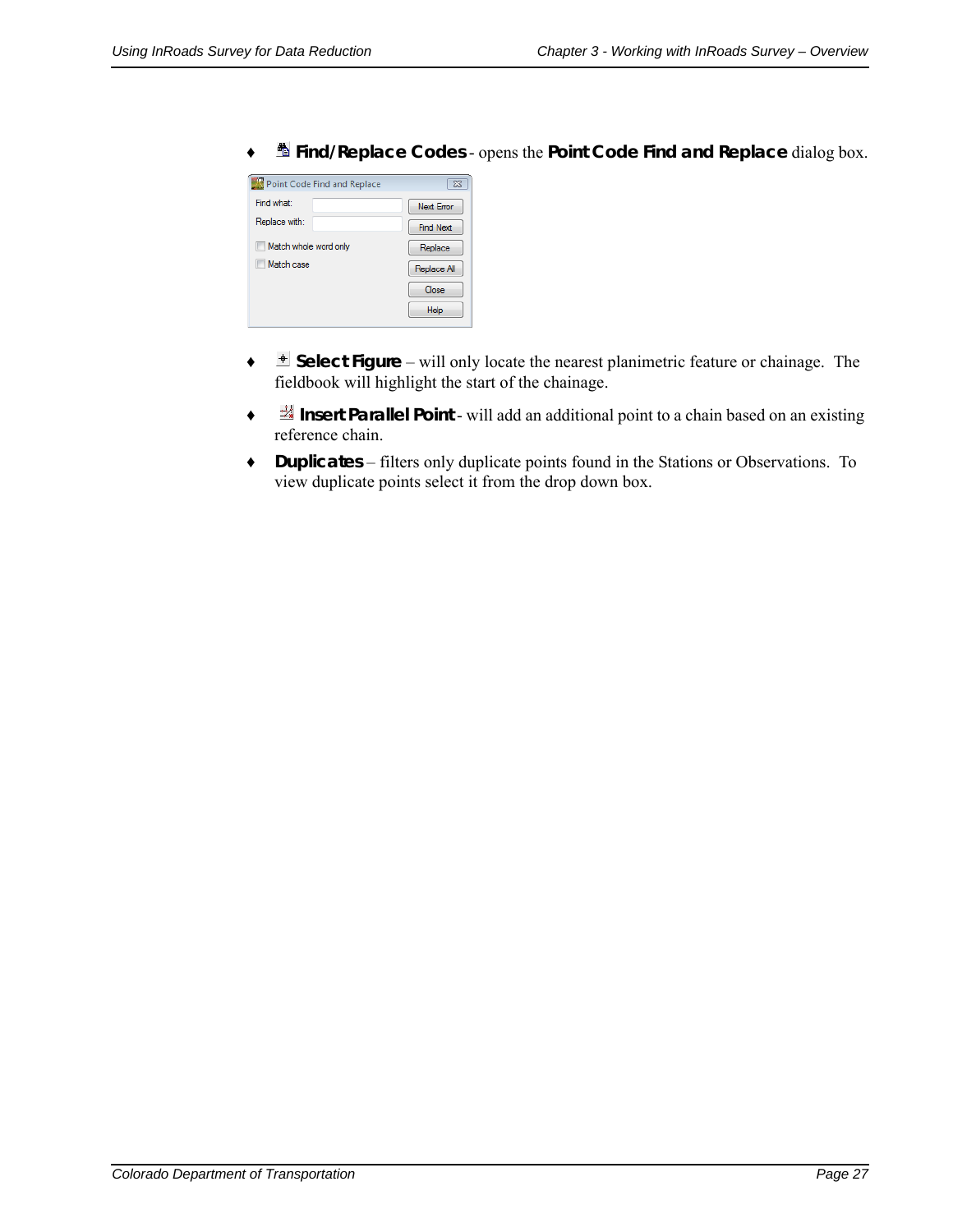| Point Code Find and Replace | $\Sigma$         |
|-----------------------------|------------------|
| Find what:                  | Next Error       |
| Replace with:               | <b>Find Next</b> |
| Match whole word only       | Replace          |
| Match case                  | Replace All      |
|                             | Close            |
|                             | Help             |

♦ **Find/Replace Codes** - opens the **Point Code Find and Replace** dialog box.

- ♦ **Select Figure** will only locate the nearest planimetric feature or chainage. The fieldbook will highlight the start of the chainage.
- ♦ **Insert Parallel Point** will add an additional point to a chain based on an existing reference chain.
- ♦ **Duplicates**  filters only duplicate points found in the Stations or Observations. To view duplicate points select it from the drop down box.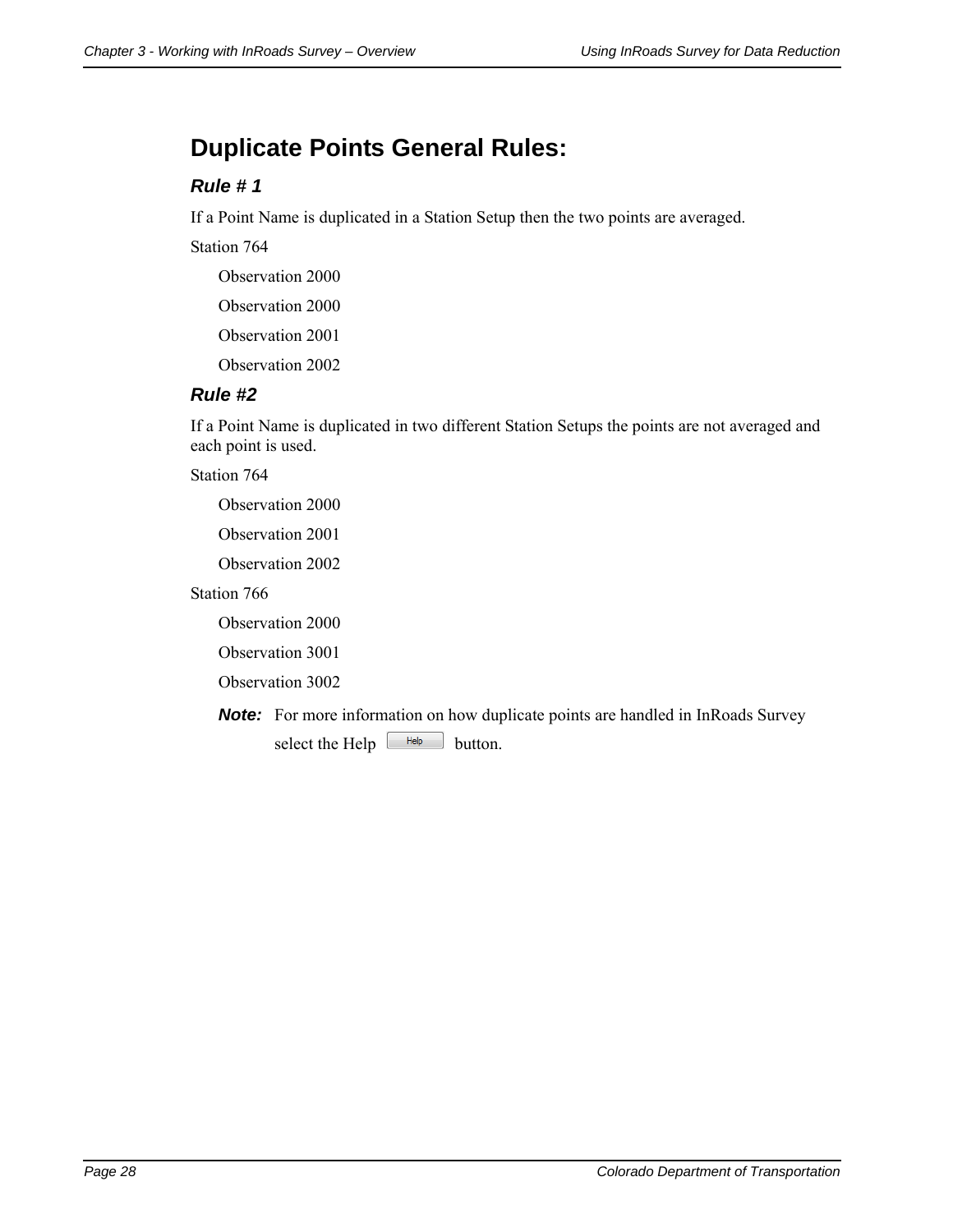### **Duplicate Points General Rules:**

#### *Rule # 1*

If a Point Name is duplicated in a Station Setup then the two points are averaged.

Station 764

Observation 2000

Observation 2000

Observation 2001

Observation 2002

#### *Rule #2*

If a Point Name is duplicated in two different Station Setups the points are not averaged and each point is used.

Station 764

Observation 2000

Observation 2001

Observation 2002

Station 766

Observation 2000

Observation 3001

Observation 3002

**Note:** For more information on how duplicate points are handled in InRoads Survey select the Help  $\boxed{\phantom{a}$  Help button.